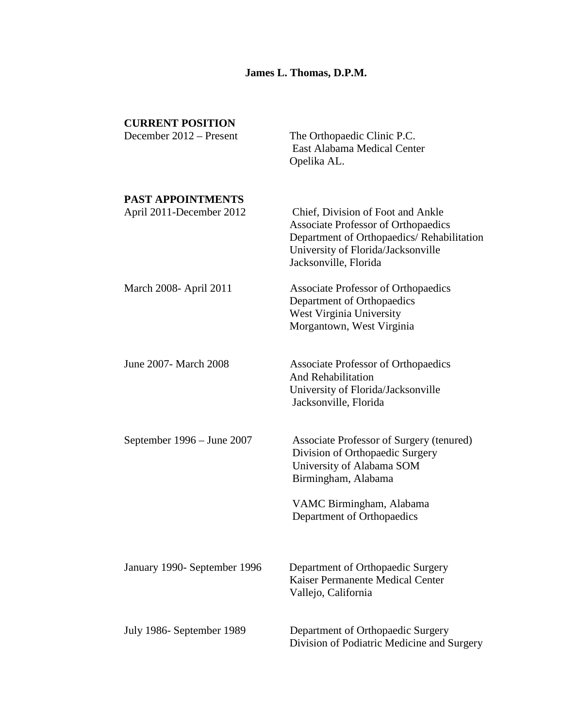# **James L. Thomas, D.P.M.**

| <b>CURRENT POSITION</b><br>December 2012 – Present   | The Orthopaedic Clinic P.C.<br>East Alabama Medical Center<br>Opelika AL.                                                                                                                   |
|------------------------------------------------------|---------------------------------------------------------------------------------------------------------------------------------------------------------------------------------------------|
| <b>PAST APPOINTMENTS</b><br>April 2011-December 2012 | Chief, Division of Foot and Ankle<br><b>Associate Professor of Orthopaedics</b><br>Department of Orthopaedics/Rehabilitation<br>University of Florida/Jacksonville<br>Jacksonville, Florida |
| March 2008- April 2011                               | <b>Associate Professor of Orthopaedics</b><br>Department of Orthopaedics<br>West Virginia University<br>Morgantown, West Virginia                                                           |
| June 2007 - March 2008                               | <b>Associate Professor of Orthopaedics</b><br><b>And Rehabilitation</b><br>University of Florida/Jacksonville<br>Jacksonville, Florida                                                      |
| September $1996 -$ June $2007$                       | Associate Professor of Surgery (tenured)<br>Division of Orthopaedic Surgery<br>University of Alabama SOM<br>Birmingham, Alabama<br>VAMC Birmingham, Alabama<br>Department of Orthopaedics   |
|                                                      |                                                                                                                                                                                             |
| January 1990- September 1996                         | Department of Orthopaedic Surgery<br>Kaiser Permanente Medical Center<br>Vallejo, California                                                                                                |
| July 1986- September 1989                            | Department of Orthopaedic Surgery<br>Division of Podiatric Medicine and Surgery                                                                                                             |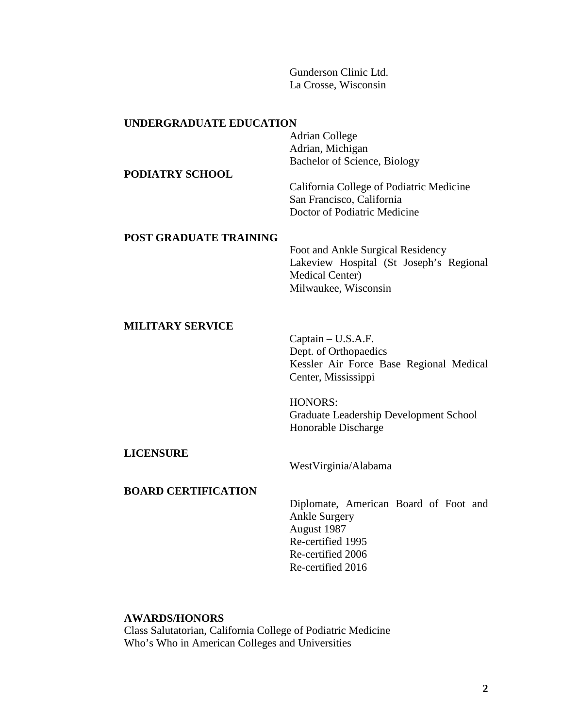Gunderson Clinic Ltd. La Crosse, Wisconsin

#### **UNDERGRADUATE EDUCATION**

Adrian College Adrian, Michigan Bachelor of Science, Biology

California College of Podiatric Medicine San Francisco, California Doctor of Podiatric Medicine

### **POST GRADUATE TRAINING**

Foot and Ankle Surgical Residency Lakeview Hospital (St Joseph's Regional Medical Center) Milwaukee, Wisconsin

# **MILITARY SERVICE**

**PODIATRY SCHOOL**

Captain – U.S.A.F. Dept. of Orthopaedics Kessler Air Force Base Regional Medical Center, Mississippi

HONORS: Graduate Leadership Development School Honorable Discharge

# **LICENSURE**

WestVirginia/Alabama

# **BOARD CERTIFICATION**

Diplomate, American Board of Foot and Ankle Surgery August 1987 Re-certified 1995 Re-certified 2006 Re-certified 2016

# **AWARDS/HONORS**

Class Salutatorian, California College of Podiatric Medicine Who's Who in American Colleges and Universities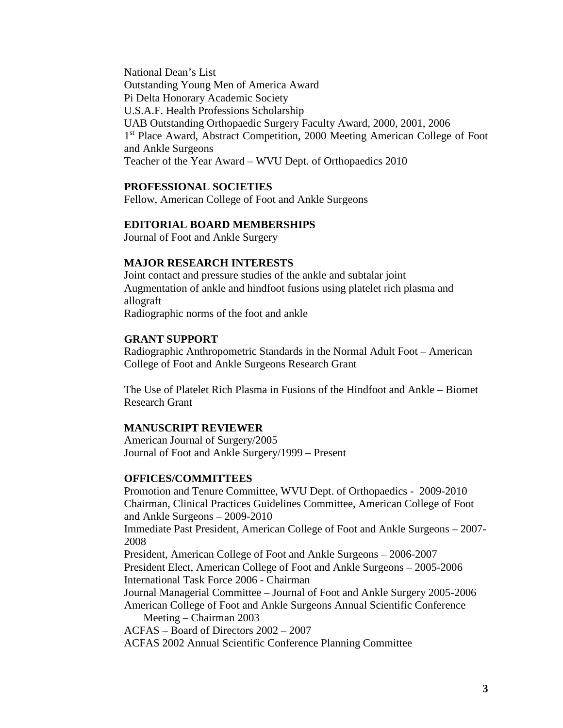National Dean's List Outstanding Young Men of America Award Pi Delta Honorary Academic Society U.S.A.F. Health Professions Scholarship UAB Outstanding Orthopaedic Surgery Faculty Award, 2000, 2001, 2006 1<sup>st</sup> Place Award, Abstract Competition, 2000 Meeting American College of Foot and Ankle Surgeons Teacher of the Year Award – WVU Dept. of Orthopaedics 2010

### **PROFESSIONAL SOCIETIES**

Fellow, American College of Foot and Ankle Surgeons

#### **EDITORIAL BOARD MEMBERSHIPS**

Journal of Foot and Ankle Surgery

# **MAJOR RESEARCH INTERESTS**

Joint contact and pressure studies of the ankle and subtalar joint Augmentation of ankle and hindfoot fusions using platelet rich plasma and allograft Radiographic norms of the foot and ankle

### **GRANT SUPPORT**

Radiographic Anthropometric Standards in the Normal Adult Foot – American College of Foot and Ankle Surgeons Research Grant

The Use of Platelet Rich Plasma in Fusions of the Hindfoot and Ankle – Biomet Research Grant

#### **MANUSCRIPT REVIEWER**

American Journal of Surgery/2005 Journal of Foot and Ankle Surgery/1999 – Present

#### **OFFICES/COMMITTEES**

Promotion and Tenure Committee, WVU Dept. of Orthopaedics - 2009-2010 Chairman, Clinical Practices Guidelines Committee, American College of Foot and Ankle Surgeons – 2009-2010

Immediate Past President, American College of Foot and Ankle Surgeons – 2007- 2008

President, American College of Foot and Ankle Surgeons – 2006-2007 President Elect, American College of Foot and Ankle Surgeons – 2005-2006 International Task Force 2006 - Chairman

Journal Managerial Committee – Journal of Foot and Ankle Surgery 2005-2006 American College of Foot and Ankle Surgeons Annual Scientific Conference Meeting – Chairman 2003

ACFAS – Board of Directors 2002 – 2007

ACFAS 2002 Annual Scientific Conference Planning Committee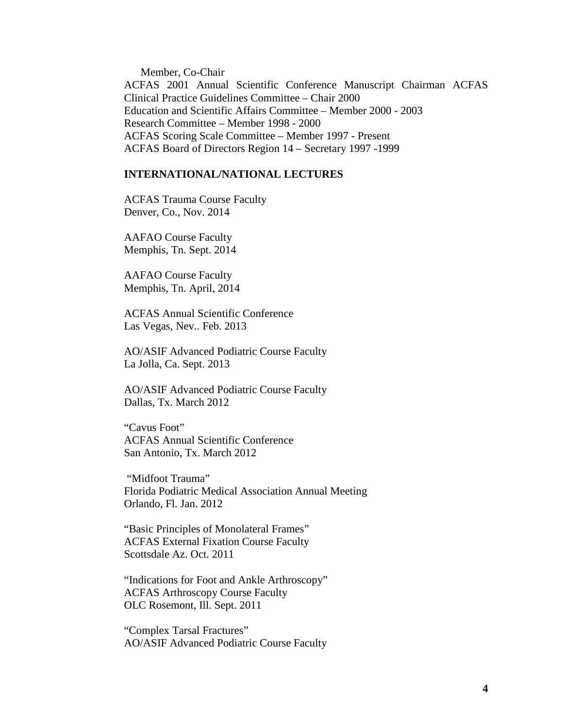Member, Co-Chair ACFAS 2001 Annual Scientific Conference Manuscript Chairman ACFAS Clinical Practice Guidelines Committee – Chair 2000 Education and Scientific Affairs Committee – Member 2000 - 2003 Research Committee – Member 1998 - 2000 ACFAS Scoring Scale Committee – Member 1997 - Present ACFAS Board of Directors Region 14 – Secretary 1997 -1999

# **INTERNATIONAL/NATIONAL LECTURES**

ACFAS Trauma Course Faculty Denver, Co., Nov. 2014

AAFAO Course Faculty Memphis, Tn. Sept. 2014

AAFAO Course Faculty Memphis, Tn. April, 2014

ACFAS Annual Scientific Conference Las Vegas, Nev.. Feb. 2013

AO/ASIF Advanced Podiatric Course Faculty La Jolla, Ca. Sept. 2013

AO/ASIF Advanced Podiatric Course Faculty Dallas, Tx. March 2012

"Cavus Foot" ACFAS Annual Scientific Conference San Antonio, Tx. March 2012

"Midfoot Trauma" Florida Podiatric Medical Association Annual Meeting Orlando, Fl. Jan. 2012

"Basic Principles of Monolateral Frames" ACFAS External Fixation Course Faculty Scottsdale Az. Oct. 2011

"Indications for Foot and Ankle Arthroscopy" ACFAS Arthroscopy Course Faculty OLC Rosemont, Ill. Sept. 2011

"Complex Tarsal Fractures" AO/ASIF Advanced Podiatric Course Faculty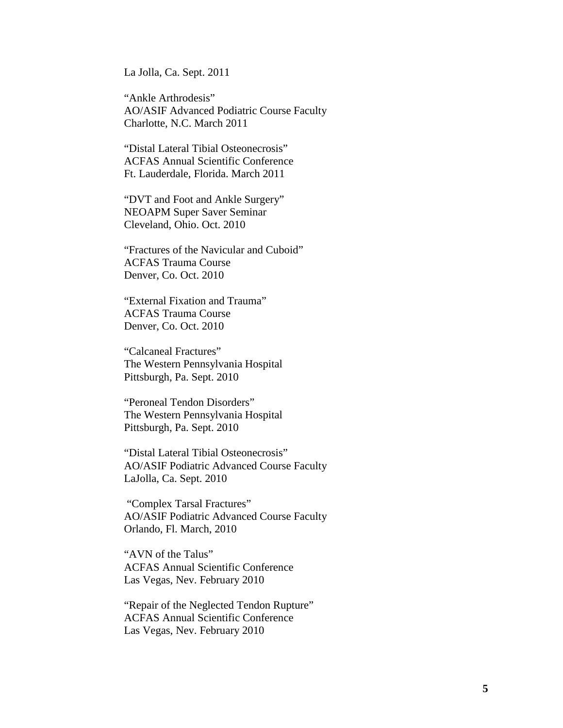La Jolla, Ca. Sept. 2011

"Ankle Arthrodesis" AO/ASIF Advanced Podiatric Course Faculty Charlotte, N.C. March 2011

"Distal Lateral Tibial Osteonecrosis" ACFAS Annual Scientific Conference Ft. Lauderdale, Florida. March 2011

"DVT and Foot and Ankle Surgery" NEOAPM Super Saver Seminar Cleveland, Ohio. Oct. 2010

"Fractures of the Navicular and Cuboid" ACFAS Trauma Course Denver, Co. Oct. 2010

"External Fixation and Trauma" ACFAS Trauma Course Denver, Co. Oct. 2010

"Calcaneal Fractures" The Western Pennsylvania Hospital Pittsburgh, Pa. Sept. 2010

"Peroneal Tendon Disorders" The Western Pennsylvania Hospital Pittsburgh, Pa. Sept. 2010

"Distal Lateral Tibial Osteonecrosis" AO/ASIF Podiatric Advanced Course Faculty LaJolla, Ca. Sept. 2010

"Complex Tarsal Fractures" AO/ASIF Podiatric Advanced Course Faculty Orlando, Fl. March, 2010

"AVN of the Talus" ACFAS Annual Scientific Conference Las Vegas, Nev. February 2010

"Repair of the Neglected Tendon Rupture" ACFAS Annual Scientific Conference Las Vegas, Nev. February 2010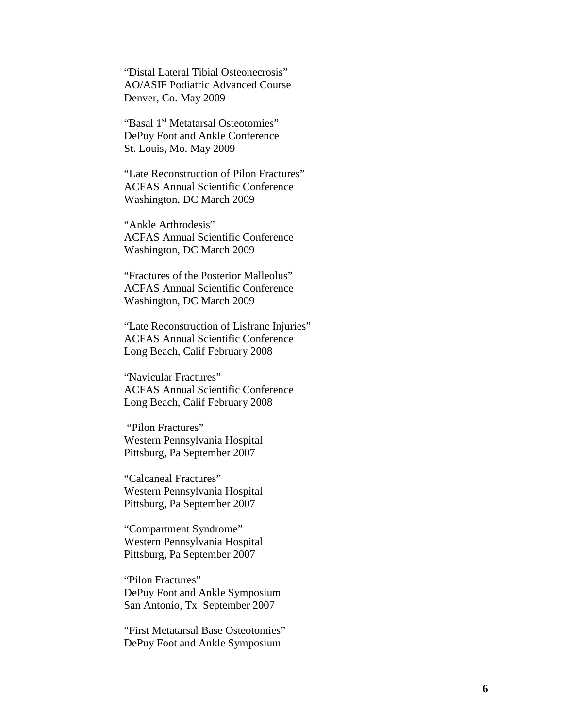"Distal Lateral Tibial Osteonecrosis" AO/ASIF Podiatric Advanced Course Denver, Co. May 2009

"Basal 1st Metatarsal Osteotomies" DePuy Foot and Ankle Conference St. Louis, Mo. May 2009

"Late Reconstruction of Pilon Fractures" ACFAS Annual Scientific Conference Washington, DC March 2009

"Ankle Arthrodesis" ACFAS Annual Scientific Conference Washington, DC March 2009

"Fractures of the Posterior Malleolus" ACFAS Annual Scientific Conference Washington, DC March 2009

"Late Reconstruction of Lisfranc Injuries" ACFAS Annual Scientific Conference Long Beach, Calif February 2008

"Navicular Fractures" ACFAS Annual Scientific Conference Long Beach, Calif February 2008

"Pilon Fractures" Western Pennsylvania Hospital Pittsburg, Pa September 2007

"Calcaneal Fractures" Western Pennsylvania Hospital Pittsburg, Pa September 2007

"Compartment Syndrome" Western Pennsylvania Hospital Pittsburg, Pa September 2007

"Pilon Fractures" DePuy Foot and Ankle Symposium San Antonio, Tx September 2007

"First Metatarsal Base Osteotomies" DePuy Foot and Ankle Symposium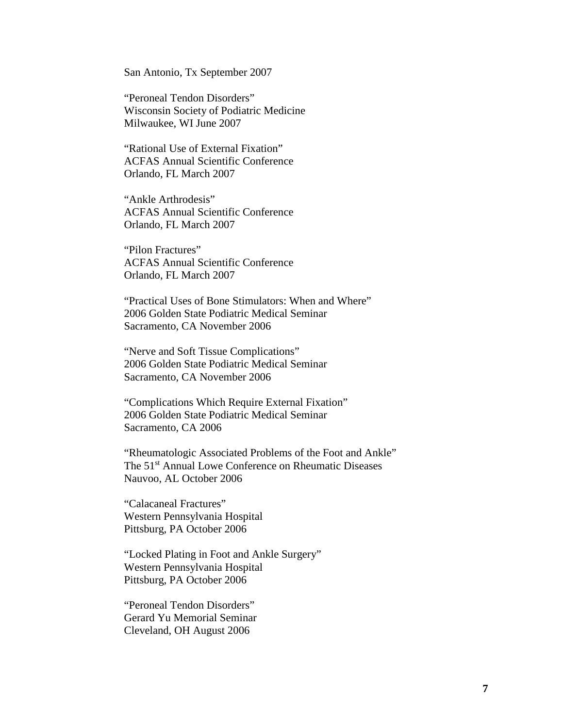San Antonio, Tx September 2007

"Peroneal Tendon Disorders" Wisconsin Society of Podiatric Medicine Milwaukee, WI June 2007

"Rational Use of External Fixation" ACFAS Annual Scientific Conference Orlando, FL March 2007

"Ankle Arthrodesis" ACFAS Annual Scientific Conference Orlando, FL March 2007

"Pilon Fractures" ACFAS Annual Scientific Conference Orlando, FL March 2007

"Practical Uses of Bone Stimulators: When and Where" 2006 Golden State Podiatric Medical Seminar Sacramento, CA November 2006

"Nerve and Soft Tissue Complications" 2006 Golden State Podiatric Medical Seminar Sacramento, CA November 2006

"Complications Which Require External Fixation" 2006 Golden State Podiatric Medical Seminar Sacramento, CA 2006

"Rheumatologic Associated Problems of the Foot and Ankle" The 51<sup>st</sup> Annual Lowe Conference on Rheumatic Diseases Nauvoo, AL October 2006

"Calacaneal Fractures" Western Pennsylvania Hospital Pittsburg, PA October 2006

"Locked Plating in Foot and Ankle Surgery" Western Pennsylvania Hospital Pittsburg, PA October 2006

"Peroneal Tendon Disorders" Gerard Yu Memorial Seminar Cleveland, OH August 2006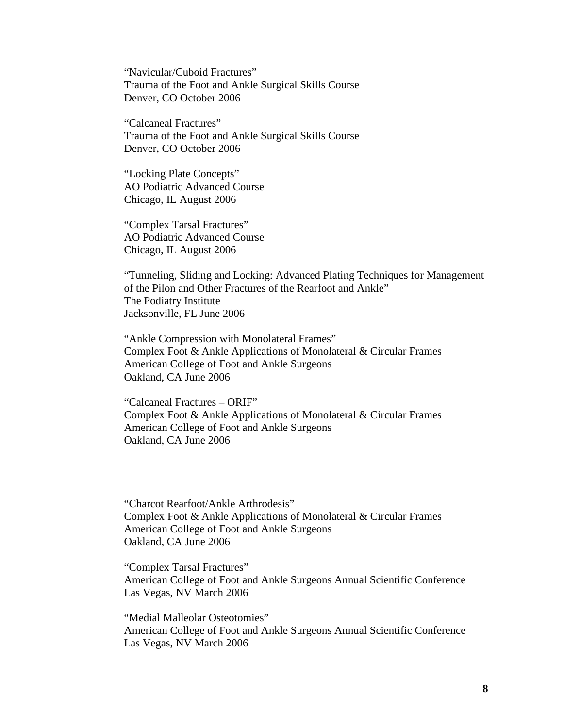"Navicular/Cuboid Fractures" Trauma of the Foot and Ankle Surgical Skills Course Denver, CO October 2006

"Calcaneal Fractures" Trauma of the Foot and Ankle Surgical Skills Course Denver, CO October 2006

"Locking Plate Concepts" AO Podiatric Advanced Course Chicago, IL August 2006

"Complex Tarsal Fractures" AO Podiatric Advanced Course Chicago, IL August 2006

"Tunneling, Sliding and Locking: Advanced Plating Techniques for Management of the Pilon and Other Fractures of the Rearfoot and Ankle" The Podiatry Institute Jacksonville, FL June 2006

"Ankle Compression with Monolateral Frames" Complex Foot & Ankle Applications of Monolateral & Circular Frames American College of Foot and Ankle Surgeons Oakland, CA June 2006

"Calcaneal Fractures – ORIF" Complex Foot & Ankle Applications of Monolateral & Circular Frames American College of Foot and Ankle Surgeons Oakland, CA June 2006

"Charcot Rearfoot/Ankle Arthrodesis" Complex Foot & Ankle Applications of Monolateral & Circular Frames American College of Foot and Ankle Surgeons Oakland, CA June 2006

"Complex Tarsal Fractures" American College of Foot and Ankle Surgeons Annual Scientific Conference Las Vegas, NV March 2006

"Medial Malleolar Osteotomies" American College of Foot and Ankle Surgeons Annual Scientific Conference Las Vegas, NV March 2006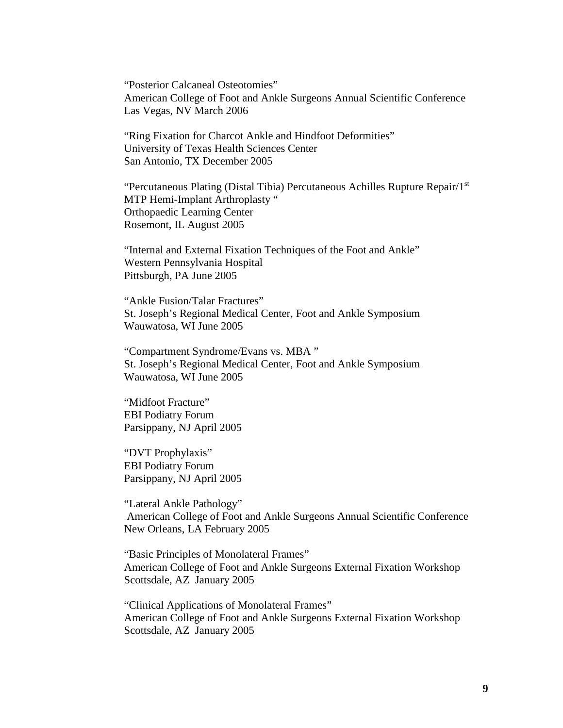"Posterior Calcaneal Osteotomies" American College of Foot and Ankle Surgeons Annual Scientific Conference Las Vegas, NV March 2006

"Ring Fixation for Charcot Ankle and Hindfoot Deformities" University of Texas Health Sciences Center San Antonio, TX December 2005

"Percutaneous Plating (Distal Tibia) Percutaneous Achilles Rupture Repair/1st MTP Hemi-Implant Arthroplasty " Orthopaedic Learning Center Rosemont, IL August 2005

"Internal and External Fixation Techniques of the Foot and Ankle" Western Pennsylvania Hospital Pittsburgh, PA June 2005

"Ankle Fusion/Talar Fractures" St. Joseph's Regional Medical Center, Foot and Ankle Symposium Wauwatosa, WI June 2005

"Compartment Syndrome/Evans vs. MBA " St. Joseph's Regional Medical Center, Foot and Ankle Symposium Wauwatosa, WI June 2005

"Midfoot Fracture" EBI Podiatry Forum Parsippany, NJ April 2005

"DVT Prophylaxis" EBI Podiatry Forum Parsippany, NJ April 2005

"Lateral Ankle Pathology" American College of Foot and Ankle Surgeons Annual Scientific Conference New Orleans, LA February 2005

"Basic Principles of Monolateral Frames" American College of Foot and Ankle Surgeons External Fixation Workshop Scottsdale, AZ January 2005

"Clinical Applications of Monolateral Frames" American College of Foot and Ankle Surgeons External Fixation Workshop Scottsdale, AZ January 2005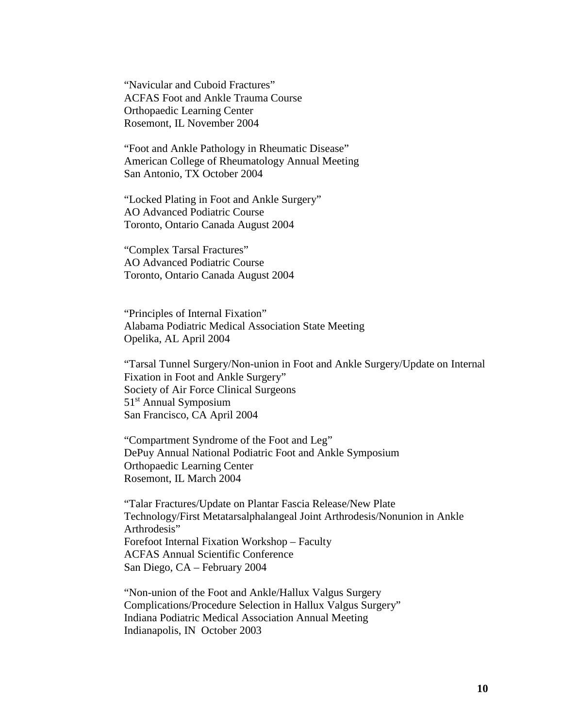"Navicular and Cuboid Fractures" ACFAS Foot and Ankle Trauma Course Orthopaedic Learning Center Rosemont, IL November 2004

"Foot and Ankle Pathology in Rheumatic Disease" American College of Rheumatology Annual Meeting San Antonio, TX October 2004

"Locked Plating in Foot and Ankle Surgery" AO Advanced Podiatric Course Toronto, Ontario Canada August 2004

"Complex Tarsal Fractures" AO Advanced Podiatric Course Toronto, Ontario Canada August 2004

"Principles of Internal Fixation" Alabama Podiatric Medical Association State Meeting Opelika, AL April 2004

"Tarsal Tunnel Surgery/Non-union in Foot and Ankle Surgery/Update on Internal Fixation in Foot and Ankle Surgery" Society of Air Force Clinical Surgeons 51<sup>st</sup> Annual Symposium San Francisco, CA April 2004

"Compartment Syndrome of the Foot and Leg" DePuy Annual National Podiatric Foot and Ankle Symposium Orthopaedic Learning Center Rosemont, IL March 2004

"Talar Fractures/Update on Plantar Fascia Release/New Plate Technology/First Metatarsalphalangeal Joint Arthrodesis/Nonunion in Ankle Arthrodesis" Forefoot Internal Fixation Workshop – Faculty ACFAS Annual Scientific Conference San Diego, CA – February 2004

"Non-union of the Foot and Ankle/Hallux Valgus Surgery Complications/Procedure Selection in Hallux Valgus Surgery" Indiana Podiatric Medical Association Annual Meeting Indianapolis, IN October 2003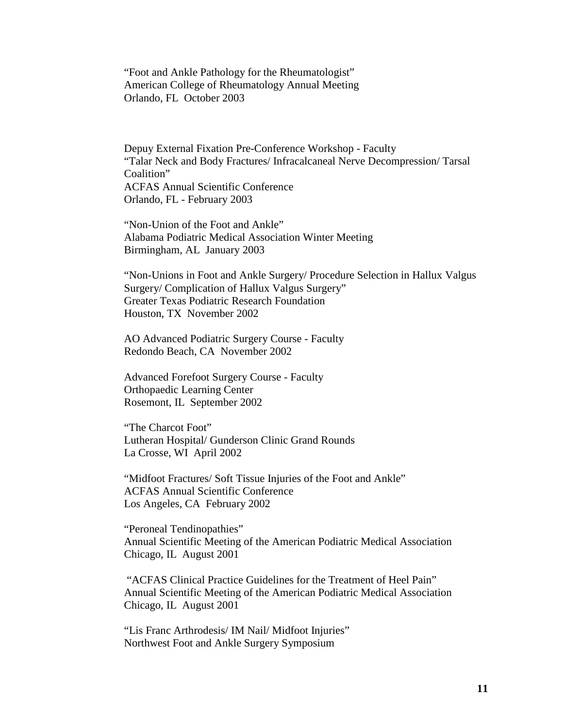"Foot and Ankle Pathology for the Rheumatologist" American College of Rheumatology Annual Meeting Orlando, FL October 2003

Depuy External Fixation Pre-Conference Workshop - Faculty "Talar Neck and Body Fractures/ Infracalcaneal Nerve Decompression/ Tarsal Coalition" ACFAS Annual Scientific Conference Orlando, FL - February 2003

"Non-Union of the Foot and Ankle" Alabama Podiatric Medical Association Winter Meeting Birmingham, AL January 2003

"Non-Unions in Foot and Ankle Surgery/ Procedure Selection in Hallux Valgus Surgery/ Complication of Hallux Valgus Surgery" Greater Texas Podiatric Research Foundation Houston, TX November 2002

AO Advanced Podiatric Surgery Course - Faculty Redondo Beach, CA November 2002

Advanced Forefoot Surgery Course - Faculty Orthopaedic Learning Center Rosemont, IL September 2002

"The Charcot Foot" Lutheran Hospital/ Gunderson Clinic Grand Rounds La Crosse, WI April 2002

"Midfoot Fractures/ Soft Tissue Injuries of the Foot and Ankle" ACFAS Annual Scientific Conference Los Angeles, CA February 2002

"Peroneal Tendinopathies" Annual Scientific Meeting of the American Podiatric Medical Association Chicago, IL August 2001

"ACFAS Clinical Practice Guidelines for the Treatment of Heel Pain" Annual Scientific Meeting of the American Podiatric Medical Association Chicago, IL August 2001

"Lis Franc Arthrodesis/ IM Nail/ Midfoot Injuries" Northwest Foot and Ankle Surgery Symposium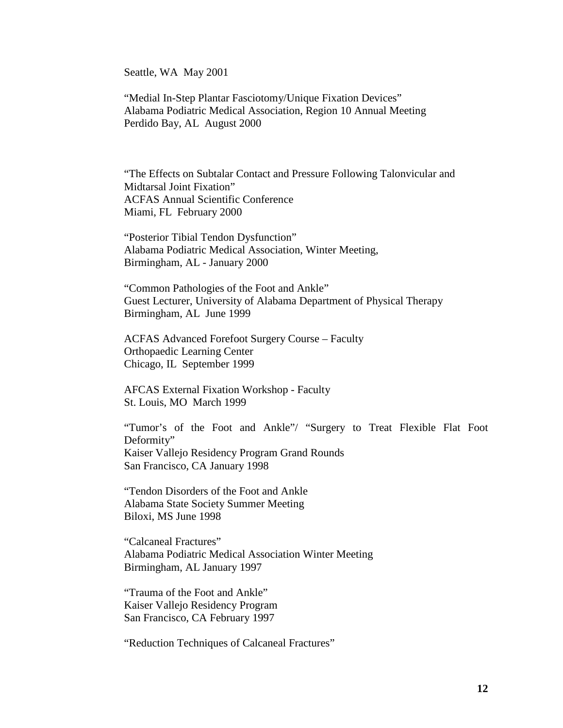Seattle, WA May 2001

"Medial In-Step Plantar Fasciotomy/Unique Fixation Devices" Alabama Podiatric Medical Association, Region 10 Annual Meeting Perdido Bay, AL August 2000

"The Effects on Subtalar Contact and Pressure Following Talonvicular and Midtarsal Joint Fixation" ACFAS Annual Scientific Conference Miami, FL February 2000

"Posterior Tibial Tendon Dysfunction" Alabama Podiatric Medical Association, Winter Meeting, Birmingham, AL - January 2000

"Common Pathologies of the Foot and Ankle" Guest Lecturer, University of Alabama Department of Physical Therapy Birmingham, AL June 1999

ACFAS Advanced Forefoot Surgery Course – Faculty Orthopaedic Learning Center Chicago, IL September 1999

AFCAS External Fixation Workshop - Faculty St. Louis, MO March 1999

"Tumor's of the Foot and Ankle"/ "Surgery to Treat Flexible Flat Foot Deformity" Kaiser Vallejo Residency Program Grand Rounds San Francisco, CA January 1998

"Tendon Disorders of the Foot and Ankle Alabama State Society Summer Meeting Biloxi, MS June 1998

"Calcaneal Fractures" Alabama Podiatric Medical Association Winter Meeting Birmingham, AL January 1997

"Trauma of the Foot and Ankle" Kaiser Vallejo Residency Program San Francisco, CA February 1997

"Reduction Techniques of Calcaneal Fractures"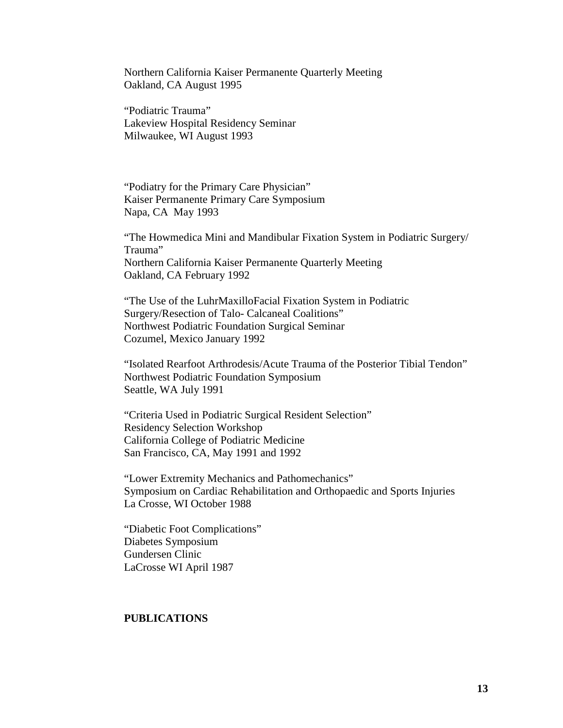Northern California Kaiser Permanente Quarterly Meeting Oakland, CA August 1995

"Podiatric Trauma" Lakeview Hospital Residency Seminar Milwaukee, WI August 1993

"Podiatry for the Primary Care Physician" Kaiser Permanente Primary Care Symposium Napa, CA May 1993

"The Howmedica Mini and Mandibular Fixation System in Podiatric Surgery/ Trauma" Northern California Kaiser Permanente Quarterly Meeting Oakland, CA February 1992

"The Use of the LuhrMaxilloFacial Fixation System in Podiatric Surgery/Resection of Talo- Calcaneal Coalitions" Northwest Podiatric Foundation Surgical Seminar Cozumel, Mexico January 1992

"Isolated Rearfoot Arthrodesis/Acute Trauma of the Posterior Tibial Tendon" Northwest Podiatric Foundation Symposium Seattle, WA July 1991

"Criteria Used in Podiatric Surgical Resident Selection" Residency Selection Workshop California College of Podiatric Medicine San Francisco, CA, May 1991 and 1992

"Lower Extremity Mechanics and Pathomechanics" Symposium on Cardiac Rehabilitation and Orthopaedic and Sports Injuries La Crosse, WI October 1988

"Diabetic Foot Complications" Diabetes Symposium Gundersen Clinic LaCrosse WI April 1987

# **PUBLICATIONS**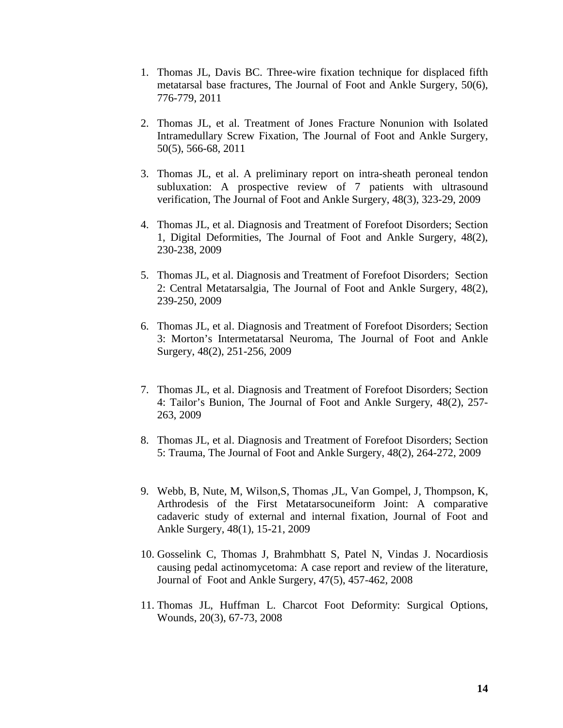- 1. Thomas JL, Davis BC. Three-wire fixation technique for displaced fifth metatarsal base fractures, The Journal of Foot and Ankle Surgery, 50(6), 776-779, 2011
- 2. Thomas JL, et al. Treatment of Jones Fracture Nonunion with Isolated Intramedullary Screw Fixation, The Journal of Foot and Ankle Surgery, 50(5), 566-68, 2011
- 3. Thomas JL, et al. A preliminary report on intra-sheath peroneal tendon subluxation: A prospective review of 7 patients with ultrasound verification, The Journal of Foot and Ankle Surgery, 48(3), 323-29, 2009
- 4. Thomas JL, et al. Diagnosis and Treatment of Forefoot Disorders; Section 1, Digital Deformities, The Journal of Foot and Ankle Surgery, 48(2), 230-238, 2009
- 5. Thomas JL, et al. Diagnosis and Treatment of Forefoot Disorders; Section 2: Central Metatarsalgia, The Journal of Foot and Ankle Surgery, 48(2), 239-250, 2009
- 6. Thomas JL, et al. Diagnosis and Treatment of Forefoot Disorders; Section 3: Morton's Intermetatarsal Neuroma, The Journal of Foot and Ankle Surgery, 48(2), 251-256, 2009
- 7. Thomas JL, et al. Diagnosis and Treatment of Forefoot Disorders; Section 4: Tailor's Bunion, The Journal of Foot and Ankle Surgery, 48(2), 257- 263, 2009
- 8. Thomas JL, et al. Diagnosis and Treatment of Forefoot Disorders; Section 5: Trauma, The Journal of Foot and Ankle Surgery, 48(2), 264-272, 2009
- 9. Webb, B, Nute, M, Wilson,S, Thomas ,JL, Van Gompel, J, Thompson, K, Arthrodesis of the First Metatarsocuneiform Joint: A comparative cadaveric study of external and internal fixation, Journal of Foot and Ankle Surgery, 48(1), 15-21, 2009
- 10. Gosselink C, Thomas J, Brahmbhatt S, Patel N, Vindas J. Nocardiosis causing pedal actinomycetoma: A case report and review of the literature, Journal of Foot and Ankle Surgery, 47(5), 457-462, 2008
- 11. Thomas JL, Huffman L. Charcot Foot Deformity: Surgical Options, Wounds, 20(3), 67-73, 2008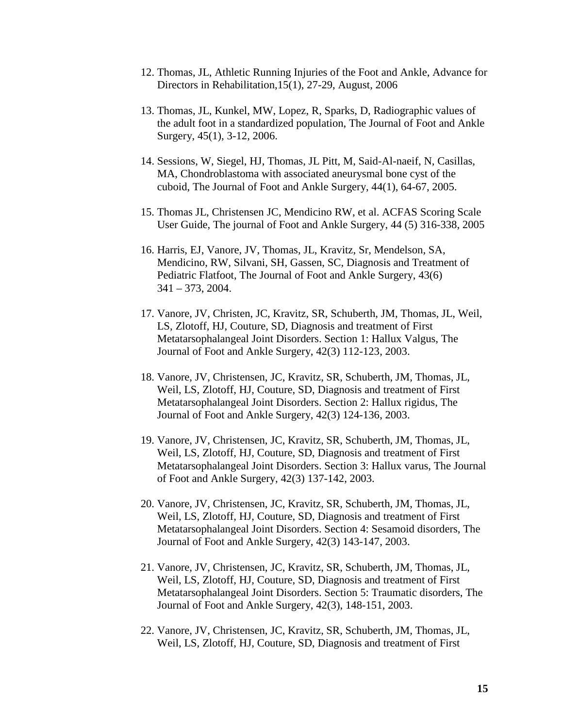- 12. Thomas, JL, Athletic Running Injuries of the Foot and Ankle, Advance for Directors in Rehabilitation,15(1), 27-29, August, 2006
- 13. Thomas, JL, Kunkel, MW, Lopez, R, Sparks, D, Radiographic values of the adult foot in a standardized population, The Journal of Foot and Ankle Surgery, 45(1), 3-12, 2006.
- 14. Sessions, W, Siegel, HJ, Thomas, JL Pitt, M, Said-Al-naeif, N, Casillas, MA, Chondroblastoma with associated aneurysmal bone cyst of the cuboid, The Journal of Foot and Ankle Surgery, 44(1), 64-67, 2005.
- 15. Thomas JL, Christensen JC, Mendicino RW, et al. ACFAS Scoring Scale User Guide, The journal of Foot and Ankle Surgery, 44 (5) 316-338, 2005
- 16. Harris, EJ, Vanore, JV, Thomas, JL, Kravitz, Sr, Mendelson, SA, Mendicino, RW, Silvani, SH, Gassen, SC, Diagnosis and Treatment of Pediatric Flatfoot, The Journal of Foot and Ankle Surgery, 43(6) 341 – 373, 2004.
- 17. Vanore, JV, Christen, JC, Kravitz, SR, Schuberth, JM, Thomas, JL, Weil, LS, Zlotoff, HJ, Couture, SD, Diagnosis and treatment of First Metatarsophalangeal Joint Disorders. Section 1: Hallux Valgus, The Journal of Foot and Ankle Surgery, 42(3) 112-123, 2003.
- 18. Vanore, JV, Christensen, JC, Kravitz, SR, Schuberth, JM, Thomas, JL, Weil, LS, Zlotoff, HJ, Couture, SD, Diagnosis and treatment of First Metatarsophalangeal Joint Disorders. Section 2: Hallux rigidus, The Journal of Foot and Ankle Surgery, 42(3) 124-136, 2003.
- 19. Vanore, JV, Christensen, JC, Kravitz, SR, Schuberth, JM, Thomas, JL, Weil, LS, Zlotoff, HJ, Couture, SD, Diagnosis and treatment of First Metatarsophalangeal Joint Disorders. Section 3: Hallux varus, The Journal of Foot and Ankle Surgery, 42(3) 137-142, 2003.
- 20. Vanore, JV, Christensen, JC, Kravitz, SR, Schuberth, JM, Thomas, JL, Weil, LS, Zlotoff, HJ, Couture, SD, Diagnosis and treatment of First Metatarsophalangeal Joint Disorders. Section 4: Sesamoid disorders, The Journal of Foot and Ankle Surgery, 42(3) 143-147, 2003.
- 21. Vanore, JV, Christensen, JC, Kravitz, SR, Schuberth, JM, Thomas, JL, Weil, LS, Zlotoff, HJ, Couture, SD, Diagnosis and treatment of First Metatarsophalangeal Joint Disorders. Section 5: Traumatic disorders, The Journal of Foot and Ankle Surgery, 42(3), 148-151, 2003.
- 22. Vanore, JV, Christensen, JC, Kravitz, SR, Schuberth, JM, Thomas, JL, Weil, LS, Zlotoff, HJ, Couture, SD, Diagnosis and treatment of First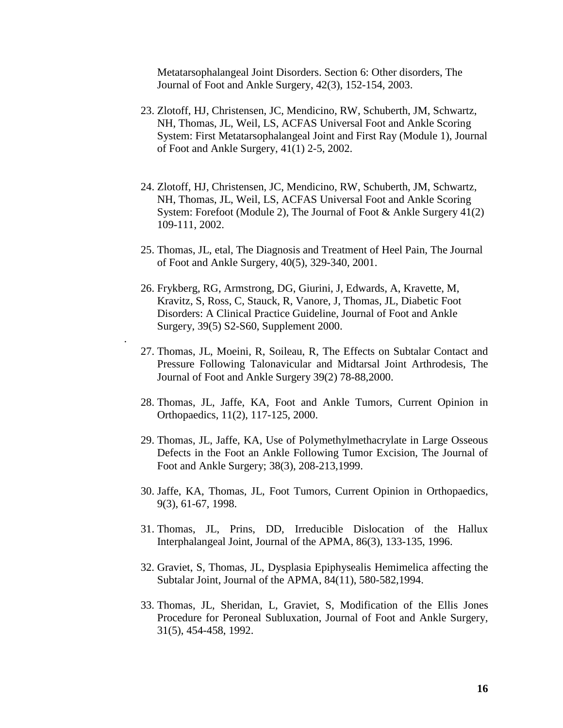Metatarsophalangeal Joint Disorders. Section 6: Other disorders, The Journal of Foot and Ankle Surgery, 42(3), 152-154, 2003.

- 23. Zlotoff, HJ, Christensen, JC, Mendicino, RW, Schuberth, JM, Schwartz, NH, Thomas, JL, Weil, LS, ACFAS Universal Foot and Ankle Scoring System: First Metatarsophalangeal Joint and First Ray (Module 1), Journal of Foot and Ankle Surgery, 41(1) 2-5, 2002.
- 24. Zlotoff, HJ, Christensen, JC, Mendicino, RW, Schuberth, JM, Schwartz, NH, Thomas, JL, Weil, LS, ACFAS Universal Foot and Ankle Scoring System: Forefoot (Module 2), The Journal of Foot & Ankle Surgery 41(2) 109-111, 2002.
- 25. Thomas, JL, etal, The Diagnosis and Treatment of Heel Pain, The Journal of Foot and Ankle Surgery, 40(5), 329-340, 2001.
- 26. Frykberg, RG, Armstrong, DG, Giurini, J, Edwards, A, Kravette, M, Kravitz, S, Ross, C, Stauck, R, Vanore, J, Thomas, JL, Diabetic Foot Disorders: A Clinical Practice Guideline, Journal of Foot and Ankle Surgery, 39(5) S2-S60, Supplement 2000.

.

- 27. Thomas, JL, Moeini, R, Soileau, R, The Effects on Subtalar Contact and Pressure Following Talonavicular and Midtarsal Joint Arthrodesis, The Journal of Foot and Ankle Surgery 39(2) 78-88,2000.
- 28. Thomas, JL, Jaffe, KA, Foot and Ankle Tumors, Current Opinion in Orthopaedics, 11(2), 117-125, 2000.
- 29. Thomas, JL, Jaffe, KA, Use of Polymethylmethacrylate in Large Osseous Defects in the Foot an Ankle Following Tumor Excision, The Journal of Foot and Ankle Surgery; 38(3), 208-213,1999.
- 30. Jaffe, KA, Thomas, JL, Foot Tumors, Current Opinion in Orthopaedics, 9(3), 61-67, 1998.
- 31. Thomas, JL, Prins, DD, Irreducible Dislocation of the Hallux Interphalangeal Joint, Journal of the APMA, 86(3), 133-135, 1996.
- 32. Graviet, S, Thomas, JL, Dysplasia Epiphysealis Hemimelica affecting the Subtalar Joint, Journal of the APMA, 84(11), 580-582,1994.
- 33. Thomas, JL, Sheridan, L, Graviet, S, Modification of the Ellis Jones Procedure for Peroneal Subluxation, Journal of Foot and Ankle Surgery, 31(5), 454-458, 1992.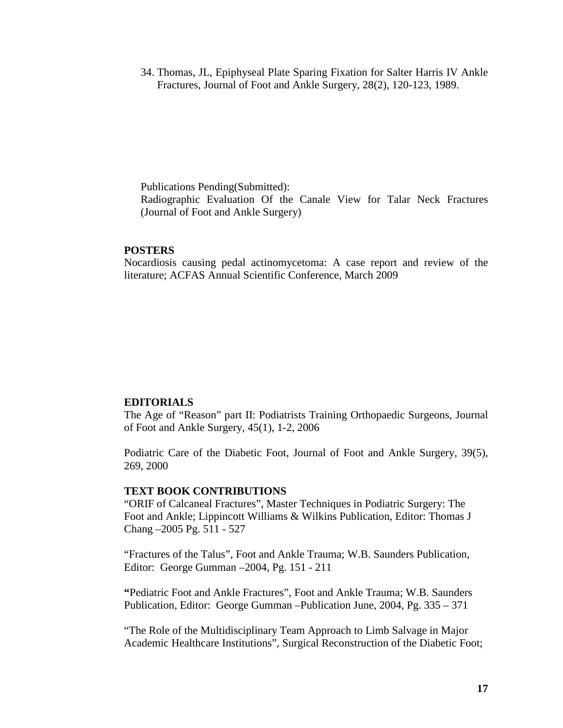34. Thomas, JL, Epiphyseal Plate Sparing Fixation for Salter Harris IV Ankle Fractures, Journal of Foot and Ankle Surgery, 28(2), 120-123, 1989.

Publications Pending(Submitted): Radiographic Evaluation Of the Canale View for Talar Neck Fractures (Journal of Foot and Ankle Surgery)

#### **POSTERS**

Nocardiosis causing pedal actinomycetoma: A case report and review of the literature; ACFAS Annual Scientific Conference, March 2009

#### **EDITORIALS**

The Age of "Reason" part II: Podiatrists Training Orthopaedic Surgeons, Journal of Foot and Ankle Surgery, 45(1), 1-2, 2006

Podiatric Care of the Diabetic Foot, Journal of Foot and Ankle Surgery, 39(5), 269, 2000

#### **TEXT BOOK CONTRIBUTIONS**

"ORIF of Calcaneal Fractures", Master Techniques in Podiatric Surgery: The Foot and Ankle; Lippincott Williams & Wilkins Publication, Editor: Thomas J Chang –2005 Pg. 511 - 527

"Fractures of the Talus", Foot and Ankle Trauma; W.B. Saunders Publication, Editor: George Gumman –2004, Pg. 151 - 211

**"**Pediatric Foot and Ankle Fractures", Foot and Ankle Trauma; W.B. Saunders Publication, Editor: George Gumman –Publication June, 2004, Pg. 335 – 371

"The Role of the Multidisciplinary Team Approach to Limb Salvage in Major Academic Healthcare Institutions", Surgical Reconstruction of the Diabetic Foot;